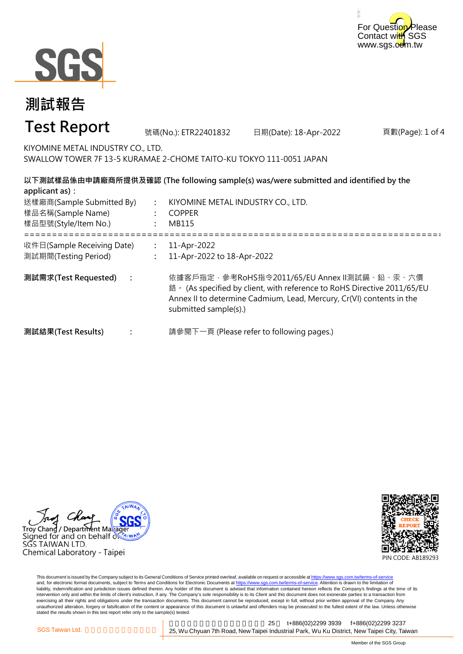



#### 頁數(Page): 1 of 4 **: : :** ===================================================================================================== **: : : 測試需求(Test Requested) :** 11-Apr-2022 11-Apr-2022 to 18-Apr-2022 依據客戶指定,參考RoHS指令2011/65/EU Annex II測試鎘、鉛、汞、六價 鉻。 (As specified by client, with reference to RoHS Directive 2011/65/EU Annex II to determine Cadmium, Lead, Mercury, Cr(VI) contents in the submitted sample(s).) 請參閱下一頁 (Please refer to following pages.) **以下測試樣品係由申請廠商所提供及確認 (The following sample(s) was/were submitted and identified by the applicant as):** KIYOMINE METAL INDUSTRY CO., LTD. COPPER MB115 **測試結果(Test Results)** 樣品名稱(Sample Name) 樣品型號(Style/Item No.) 送樣廠商(Sample Submitted By) 收件日(Sample Receiving Date) 測試期間(Testing Period) 號碼(No.): ETR22401832 日期(Date): 18-Apr-2022 **測試報告 Test Report** KIYOMINE METAL INDUSTRY CO., LTD. SWALLOW TOWER 7F 13-5 KURAMAE 2-CHOME TAITO-KU TOKYO 111-0051 JAPAN

Troy Chang / Department Maka Signed for and on behalf  $\delta$ SGS TAIWAN LTD. Chemical Laboratory - Taipei



This document is issued by the Company subject to its General Conditions of Service printed overleaf, available on request or accessible at https://www.sgs.com.tw/terms-of-service and, for electronic format documents, subject to Terms and Conditions for Electronic Documents at https://www.sgs.com.tw/terms-of-service. Attention is drawn to the limitation of liability, indemnification and jurisdiction issues defined therein. Any holder of this document is advised that information contained hereon reflects the Company's findings at the time of its intervention only and within the limits of client's instruction, if any. The Company's sole responsibility is to its Client and this document does not exonerate parties to a transaction from exercising all their rights and obligations under the transaction documents. This document cannot be reproduced, except in full, without prior written approval of the Company. Any<br>unauthorized alteration, forgery or falsif stated the results shown in this test report refer only to the sample(s) tested.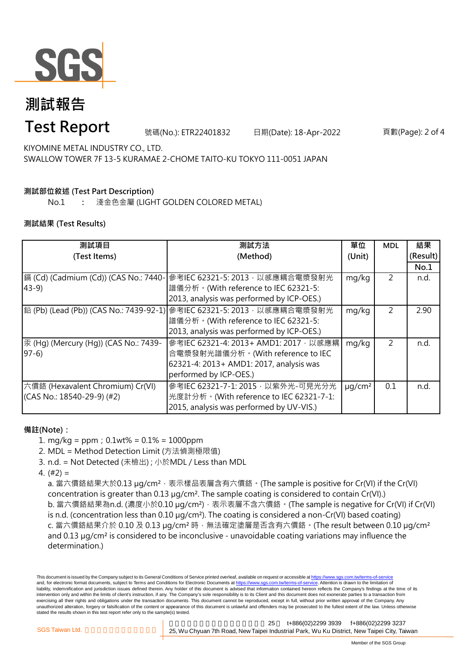

# **測試報告**

### **Test Report**

號碼(No.): ETR22401832 日期(Date): 18-Apr-2022 頁數(Page): 2 of 4

KIYOMINE METAL INDUSTRY CO., LTD. SWALLOW TOWER 7F 13-5 KURAMAE 2-CHOME TAITO-KU TOKYO 111-0051 JAPAN

### **測試部位敘述 (Test Part Description)**

No.1 **:** 淺金色金屬 (LIGHT GOLDEN COLORED METAL)

#### **測試結果 (Test Results)**

| 測試項目                                  | 測試方法                                                                     | 單位                      | <b>MDL</b>     | 結果       |
|---------------------------------------|--------------------------------------------------------------------------|-------------------------|----------------|----------|
| (Test Items)                          | (Method)                                                                 | (Unit)                  |                | (Result) |
|                                       |                                                                          |                         |                | No.1     |
| 鎘 (Cd) (Cadmium (Cd)) (CAS No.: 7440- | 參考IEC 62321-5: 2013, 以感應耦合電漿發射光                                          | mg/kg                   | 2              | n.d.     |
| $43-9$                                | 譜儀分析。(With reference to IEC 62321-5:                                     |                         |                |          |
|                                       | 2013, analysis was performed by ICP-OES.)                                |                         |                |          |
|                                       | 鉛 (Pb) (Lead (Pb)) (CAS No.: 7439-92-1) 參考IEC 62321-5: 2013 , 以感應耦合電漿發射光 | mg/kg                   | $\overline{2}$ | 2.90     |
|                                       | 譜儀分析。(With reference to IEC 62321-5:                                     |                         |                |          |
|                                       | 2013, analysis was performed by ICP-OES.)                                |                         |                |          |
| 汞 (Hg) (Mercury (Hg)) (CAS No.: 7439- | 參考IEC 62321-4: 2013+ AMD1: 2017, 以感應耦                                    | mg/kg                   | 2              | n.d.     |
| $97-6$                                | 合電漿發射光譜儀分析。(With reference to IEC                                        |                         |                |          |
|                                       | 62321-4: 2013+ AMD1: 2017, analysis was                                  |                         |                |          |
|                                       | performed by ICP-OES.)                                                   |                         |                |          |
| 六價鉻 (Hexavalent Chromium) Cr(VI)      | 參考IEC 62321-7-1: 2015, 以紫外光-可見光分光                                        | $\mu$ g/cm <sup>2</sup> | 0.1            | n.d.     |
| $(CAS No.: 18540-29-9)$ (#2)          | 光度計分析。(With reference to IEC 62321-7-1:                                  |                         |                |          |
|                                       | 2015, analysis was performed by UV-VIS.)                                 |                         |                |          |

#### **備註(Note):**

1. mg/kg = ppm;0.1wt% = 0.1% = 1000ppm

2. MDL = Method Detection Limit (方法偵測極限值)

- 3. n.d. = Not Detected (未檢出) ; 小於MDL / Less than MDL
- 4. (#2) =

a. 當六價鉻結果大於0.13 μg/cm<sup>2</sup>,表示樣品表層含有六價鉻。(The sample is positive for Cr(VI) if the Cr(VI) concentration is greater than 0.13 µg/cm². The sample coating is considered to contain Cr(VI).) b. 當六價鉻結果為n.d. (濃度小於0.10 μg/cm<sup>2</sup>), 表示表層不含六價鉻。(The sample is negative for Cr(VI) if Cr(VI) is n.d. (concentration less than 0.10 µg/cm²). The coating is considered a non-Cr(VI) based coating) c. 當六價鉻結果介於 0.10 及 0.13 µg/cm<sup>2</sup> 時, 無法確定塗層是否含有六價鉻。(The result between 0.10 µg/cm<sup>2</sup> and 0.13 µg/cm² is considered to be inconclusive - unavoidable coating variations may influence the determination.)

This document is issued by the Company subject to its General Conditions of Service printed overleaf, available on request or accessible at https://www.sgs.com.tw/terms-of-service and, for electronic format documents, subject to Terms and Conditions for Electronic Documents at https://www.sgs.com.tw/terms-of-service. Attention is drawn to the limitation of liability, indemnification and jurisdiction issues defined therein. Any holder of this document is advised that information contained hereon reflects the Company's findings at the time of its intervention only and within the limits of client's instruction, if any. The Company's sole responsibility is to its Client and this document does not exonerate parties to a transaction from exercising all their rights and obligations under the transaction documents. This document cannot be reproduced, except in full, without prior written approval of the Company. Any unauthorized alteration, forgery or falsification of the content or appearance of this document is unlawful and offenders may be prosecuted to the fullest extent of the law. Unless otherwise stated the results shown in this test report refer only to the sample(s) tested.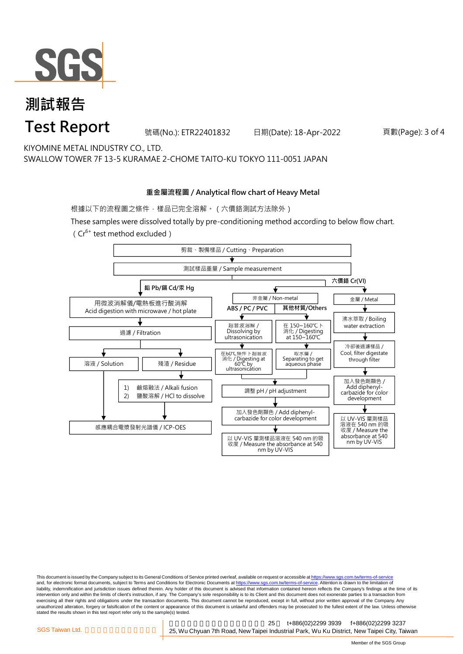

## **測試報告 Test Report**

號碼(No.): ETR22401832 日期(Date): 18-Apr-2022 頁數(Page): 3 of 4

KIYOMINE METAL INDUSTRY CO., LTD. SWALLOW TOWER 7F 13-5 KURAMAE 2-CHOME TAITO-KU TOKYO 111-0051 JAPAN

#### **重金屬流程圖 / Analytical flow chart of Heavy Metal**

根據以下的流程圖之條件,樣品已完全溶解。(六價鉻測試方法除外)

These samples were dissolved totally by pre-conditioning method according to below flow chart. ( $Cr^{6+}$  test method excluded)



This document is issued by the Company subject to its General Conditions of Service printed overleaf, available on request or accessible at https://www.sgs.com.tw/terms-of-service and, for electronic format documents, subject to Terms and Conditions for Electronic Documents at https://www.sgs.com.tw/terms-of-service. Attention is drawn to the limitation of liability, indemnification and jurisdiction issues defined therein. Any holder of this document is advised that information contained hereon reflects the Company's findings at the time of its intervention only and within the limits of client's instruction, if any. The Company's sole responsibility is to its Client and this document does not exonerate parties to a transaction from exercising all their rights and obligations under the transaction documents. This document cannot be reproduced, except in full, without prior written approval of the Company. Any<br>unauthorized alteration, forgery or falsif stated the results shown in this test report refer only to the sample(s) tested.